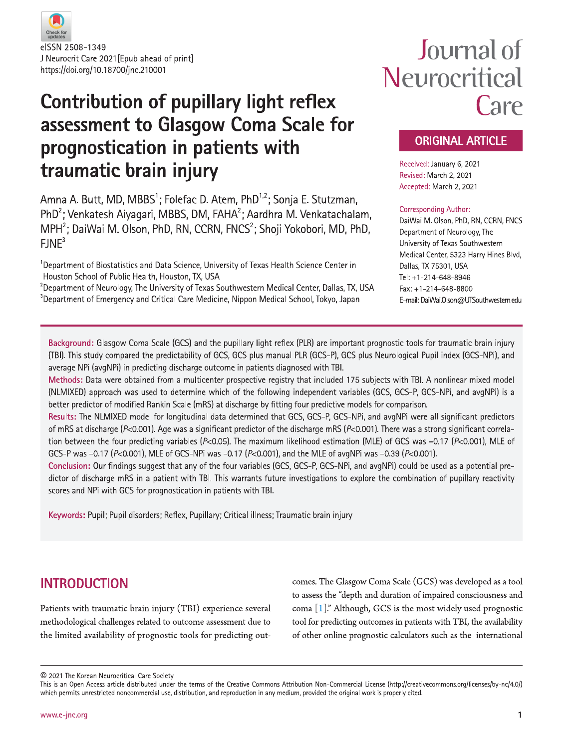

## **Contribution of pupillary light reflex** assessment to Glasgow Coma Scale for prognostication in patients with traumatic brain injury

Amna A. Butt, MD, MBBS<sup>1</sup>; Folefac D, Atem, PhD<sup>1,2</sup>; Sonia E, Stutzman, PhD<sup>2</sup>; Venkatesh Aiyagari, MBBS, DM, FAHA<sup>2</sup>; Aardhra M. Venkatachalam, MPH<sup>2</sup>; DaiWai M. Olson, PhD, RN, CCRN, FNCS<sup>2</sup>; Shoji Yokobori, MD, PhD,  $FJNE<sup>3</sup>$ 

 $^1$ Department of Biostatistics and Data Science, University of Texas Health Science Center in Houston School of Public Health, Houston, TX, USA

<sup>2</sup>Department of Neurology, The University of Texas Southwestern Medical Center, Dallas, TX, USA  ${}^{3}$ Department of Emergency and Critical Care Medicine, Nippon Medical School, Tokyo, Japan

# Journal of Neurocritical Care

## **ORIGINAL ARTICLE**

Received: January 6, 2021 Revised: March 2, 2021 Accepted: March 2, 2021

#### **Corresponding Author:**

DaiWai M. Olson, PhD, RN, CCRN, FNCS Department of Neurology, The University of Texas Southwestern Medical Center, 5323 Harry Hines Blvd, Dallas, TX 75301, USA Tel: +1-214-648-8946 Fax: +1-214-648-8800 E-mail: DaiWai.Olson@UTSouthwestern.edu

Background: Glasgow Coma Scale (GCS) and the pupillary light reflex (PLR) are important prognostic tools for traumatic brain injury (TBI). This study compared the predictability of GCS, GCS plus manual PLR (GCS-P), GCS plus Neurological Pupil index (GCS-NPi), and average NPi (avgNPi) in predicting discharge outcome in patients diagnosed with TBI.

Methods: Data were obtained from a multicenter prospective registry that included 175 subjects with TBI. A nonlinear mixed model (NLMIXED) approach was used to determine which of the following independent variables (GCS, GCS-P, GCS-NPi, and avgNPi) is a better predictor of modified Rankin Scale (mRS) at discharge by fitting four predictive models for comparison.

Results: The NLMIXED model for longitudinal data determined that GCS, GCS-P, GCS-NPi, and avgNPi were all significant predictors of mRS at discharge ( $P<0.001$ ). Age was a significant predictor of the discharge mRS ( $P<0.001$ ). There was a strong significant correlation between the four predicting variables ( $P<0.05$ ). The maximum likelihood estimation (MLE) of GCS was -0.17 ( $P<0.001$ ), MLE of GCS-P was -0.17 (P<0.001), MLE of GCS-NPi was -0.17 (P<0.001), and the MLE of avgNPi was -0.39 (P<0.001).

Conclusion: Our findings suggest that any of the four variables (GCS, GCS-P, GCS-NPi, and avgNPi) could be used as a potential predictor of discharge mRS in a patient with TBI. This warrants future investigations to explore the combination of pupillary reactivity scores and NPi with GCS for prognostication in patients with TBI.

Keywords: Pupil; Pupil disorders; Reflex, Pupillary; Critical illness; Traumatic brain injury

## **INTRODUCTION**

Patients with traumatic brain injury (TBI) experience several methodological challenges related to outcome assessment due to the limited availability of prognostic tools for predicting outcomes. The Glasgow Coma Scale (GCS) was developed as a tool to assess the "depth and duration of impaired consciousness and coma [1]." Although, GCS is the most widely used prognostic tool for predicting outcomes in patients with TBI, the availability of other online prognostic calculators such as the international

C 2021 The Korean Neurocritical Care Society

This is an Open Access article distributed under the terms of the Creative Commons Attribution Non-Commercial License (http://creativecommons.org/licenses/by-nc/4.0/) which permits unrestricted noncommercial use, distribution, and reproduction in any medium, provided the original work is properly cited.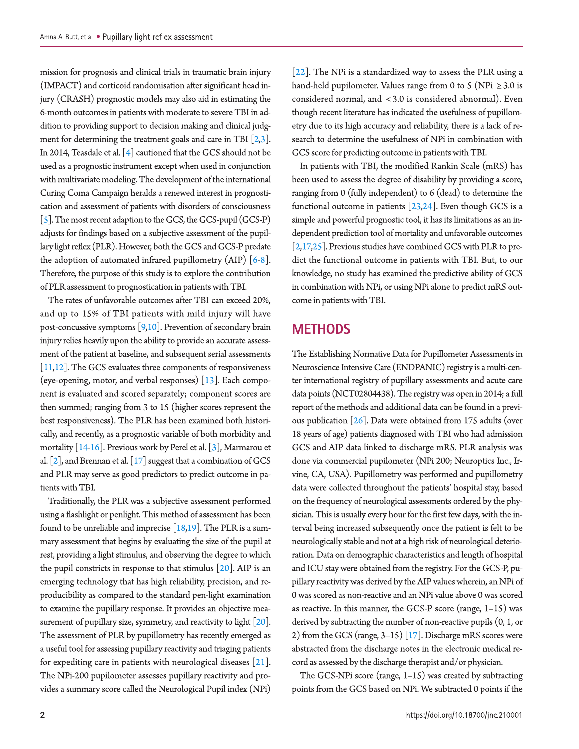mission for prognosis and clinical trials in traumatic brain injury (IMPACT) and corticoid randomisation after significant head injury (CRASH) prognostic models may also aid in estimating the 6-month outcomes in patients with moderate to severe TBI in addition to providing support to decision making and clinical judgment for determining the treatment goals and care in TBI  $[2,3]$ . In 2014, Teasdale et al.  $[4]$  cautioned that the GCS should not be used as a prognostic instrument except when used in conjunction with multivariate modeling. The development of the international Curing Coma Campaign heralds a renewed interest in prognostication and assessment of patients with disorders of consciousness [5]. The most recent adaption to the GCS, the GCS-pupil (GCS-P) adjusts for findings based on a subjective assessment of the pupillary light reflex (PLR). However, both the GCS and GCS-P predate the adoption of automated infrared pupillometry (AIP)  $[6-8]$ . Therefore, the purpose of this study is to explore the contribution of PLR assessment to prognostication in patients with TBI.

The rates of unfavorable outcomes after TBI can exceed 20%, and up to 15% of TBI patients with mild injury will have post-concussive symptoms  $[9,10]$ . Prevention of secondary brain injury relies heavily upon the ability to provide an accurate assessment of the patient at baseline, and subsequent serial assessments  $[11,12]$ . The GCS evaluates three components of responsiveness (eye-opening, motor, and verbal responses)  $\lceil 13 \rceil$ . Each component is evaluated and scored separately; component scores are then summed; ranging from 3 to 15 (higher scores represent the best responsiveness). The PLR has been examined both historically, and recently, as a prognostic variable of both morbidity and mortality [14-16]. Previous work by Perel et al. [3], Marmarou et al.  $[2]$ , and Brennan et al.  $[17]$  suggest that a combination of GCS and PLR may serve as good predictors to predict outcome in patients with TBI.

Traditionally, the PLR was a subjective assessment performed using a flashlight or penlight. This method of assessment has been found to be unreliable and imprecise  $[18,19]$ . The PLR is a summary assessment that begins by evaluating the size of the pupil at rest, providing a light stimulus, and observing the degree to which the pupil constricts in response to that stimulus  $[20]$ . AIP is an emerging technology that has high reliability, precision, and reproducibility as compared to the standard pen-light examination to examine the pupillary response. It provides an objective measurement of pupillary size, symmetry, and reactivity to light  $[20]$ . The assessment of PLR by pupillometry has recently emerged as a useful tool for assessing pupillary reactivity and triaging patients for expediting care in patients with neurological diseases  $[21]$ . The NPi-200 pupilometer assesses pupillary reactivity and provides a summary score called the Neurological Pupil index (NPi)

 $[22]$ . The NPi is a standardized way to assess the PLR using a hand-held pupilometer. Values range from 0 to 5 (NPi  $\geq$  3.0 is considered normal, and <3.0 is considered abnormal). Even though recent literature has indicated the usefulness of pupillometry due to its high accuracy and reliability, there is a lack of research to determine the usefulness of NPi in combination with GCS score for predicting outcome in patients with TBI.

In patients with TBI, the modified Rankin Scale (mRS) has been used to assess the degree of disability by providing a score, ranging from 0 (fully independent) to 6 (dead) to determine the functional outcome in patients  $[23,24]$ . Even though GCS is a simple and powerful prognostic tool, it has its limitations as an independent prediction tool of mortality and unfavorable outcomes [ $2,17,25$ ]. Previous studies have combined GCS with PLR to predict the functional outcome in patients with TBI. But, to our knowledge, no study has examined the predictive ability of GCS in combination with NPi, or using NPi alone to predict mRS outcome in patients with TBI.

## **METHODS**

The Establishing Normative Data for Pupillometer Assessments in Neuroscience Intensive Care (ENDPANIC) registry is a multi-center international registry of pupillary assessments and acute care data points (NCT02804438). The registry was open in 2014; a full report of the methods and additional data can be found in a previous publication  $\lceil 26 \rceil$ . Data were obtained from 175 adults (over 18 years of age) patients diagnosed with TBI who had admission GCS and AIP data linked to discharge mRS. PLR analysis was done via commercial pupilometer (NPi 200; Neuroptics Inc., Irvine, CA, USA). Pupillometry was performed and pupillometry data were collected throughout the patients' hospital stay, based on the frequency of neurological assessments ordered by the physician. This is usually every hour for the first few days, with the interval being increased subsequently once the patient is felt to be neurologically stable and not at a high risk of neurological deterioration. Data on demographic characteristics and length of hospital and ICU stay were obtained from the registry. For the GCS-P, pupillary reactivity was derived by the AIP values wherein, an NPi of 0 was scored as non-reactive and an NPi value above 0 was scored as reactive. In this manner, the GCS-P score (range,  $1-15$ ) was derived by subtracting the number of non-reactive pupils  $(0, 1, 0)$ 2) from the GCS (range,  $3-15$ ) [17]. Discharge mRS scores were abstracted from the discharge notes in the electronic medical record as assessed by the discharge therapist and/or physician.

The GCS-NPi score (range,  $1-15$ ) was created by subtracting points from the GCS based on NPi. We subtracted 0 points if the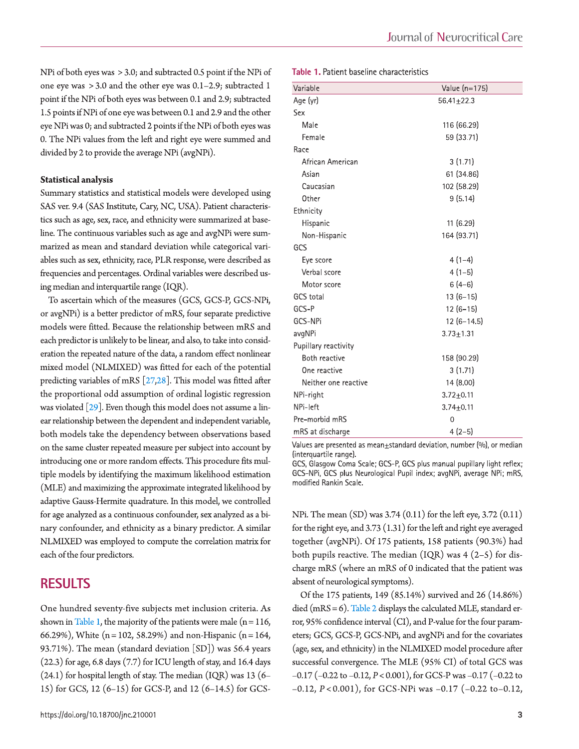NPi of both eyes was > 3.0; and subtracted 0.5 point if the NPi of one eye was  $>3.0$  and the other eye was  $0.1-2.9$ ; subtracted 1 point if the NPi of both eyes was between 0.1 and 2.9; subtracted 1.5 points if NPi of one eye was between 0.1 and 2.9 and the other eye NPi was 0; and subtracted 2 points if the NPi of both eyes was 0. The NPi values from the left and right eye were summed and divided by 2 to provide the average NPi (avgNPi).

#### **Statistical analysis**

Summary statistics and statistical models were developed using SAS ver. 9.4 (SAS Institute, Cary, NC, USA). Patient characteristics such as age, sex, race, and ethnicity were summarized at baseline. The continuous variables such as age and avgNPi were summarized as mean and standard deviation while categorical variables such as sex, ethnicity, race, PLR response, were described as frequencies and percentages. Ordinal variables were described using median and interquartile range (IQR).

To ascertain which of the measures (GCS, GCS-P, GCS-NPi, or avgNPi) is a better predictor of mRS, four separate predictive models were fitted. Because the relationship between mRS and each predictor is unlikely to be linear, and also, to take into consideration the repeated nature of the data, a random effect nonlinear mixed model (NLMIXED) was fitted for each of the potential predicting variables of mRS  $[27,28]$ . This model was fitted after the proportional odd assumption of ordinal logistic regression was violated  $\lceil 29 \rceil$ . Even though this model does not assume a linear relationship between the dependent and independent variable, both models take the dependency between observations based on the same cluster repeated measure per subject into account by introducing one or more random effects. This procedure fits multiple models by identifying the maximum likelihood estimation (MLE) and maximizing the approximate integrated likelihood by adaptive Gauss-Hermite quadrature. In this model, we controlled for age analyzed as a continuous confounder, sex analyzed as a binary confounder, and ethnicity as a binary predictor. A similar NLMIXED was employed to compute the correlation matrix for each of the four predictors.

## **RESULTS**

One hundred seventy-five subjects met inclusion criteria. As shown in Table 1, the majority of the patients were male  $(n=116,$ 66.29%), White  $(n = 102, 58.29%)$  and non-Hispanic  $(n = 164, ...)$ 93.71%). The mean (standard deviation  $[SD]$ ) was 56.4 years  $(22.3)$  for age, 6.8 days  $(7.7)$  for ICU length of stay, and 16.4 days  $(24.1)$  for hospital length of stay. The median  $(IQR)$  was 13  $(6-$ 15) for GCS, 12 (6–15) for GCS-P, and 12 (6–14.5) for GCS-

#### Table 1. Patient baseline characteristics

| Variable             | Value (n=175)   |
|----------------------|-----------------|
| Age (yr)             | $56.41 + 22.3$  |
| Sex                  |                 |
| Male                 | 116 (66.29)     |
| Female               | 59 (33.71)      |
| Race                 |                 |
| African American     | 3(1.71)         |
| Asian                | 61 (34.86)      |
| Caucasian            | 102 (58.29)     |
| Other                | 9(5.14)         |
| Ethnicity            |                 |
| Hispanic             | 11 (6.29)       |
| Non-Hispanic         | 164 (93.71)     |
| GCS                  |                 |
| Eye score            | $4(1-4)$        |
| Verbal score         | $4(1-5)$        |
| Motor score          | $6(4-6)$        |
| <b>GCS</b> total     | $13(6-15)$      |
| GCS-P                | $12(6-15)$      |
| GCS-NPi              | $12(6-14.5)$    |
| avgNPi               | $3.73 + 1.31$   |
| Pupillary reactivity |                 |
| Both reactive        | 158 (90.29)     |
| One reactive         | 3(1.71)         |
| Neither one reactive | 14 (8.00)       |
| NPi-right            | $3.72 + 0.11$   |
| NPi-left             | $3.74 \pm 0.11$ |
| Pre-morbid mRS       | 0               |
| mRS at discharge     | $4(2-5)$        |
|                      |                 |

Values are presented as mean $\pm$ standard deviation, number  $(%)$ , or median (interquartile range).

GCS, Glasgow Coma Scale; GCS-P, GCS plus manual pupillary light reflex; GCS-NPi, GCS plus Neurological Pupil index; avgNPi, average NPi; mRS, modified Rankin Scale.

NPi. The mean (SD) was 3.74 (0.11) for the left eye, 3.72 (0.11) for the right eye, and  $3.73(1.31)$  for the left and right eye averaged together (avgNPi). Of 175 patients, 158 patients (90.3%) had both pupils reactive. The median  $(IQR)$  was 4  $(2-5)$  for discharge mRS (where an mRS of 0 indicated that the patient was absent of neurological symptoms).

Of the 175 patients, 149 (85.14%) survived and 26 (14.86%) died (mRS = 6). Table 2 displays the calculated MLE, standard error, 95% confidence interval (CI), and P-value for the four parameters; GCS, GCS-P, GCS-NPi, and avgNPi and for the covariates (age, sex, and ethnicity) in the NLMIXED model procedure after successful convergence. The MLE (95% CI) of total GCS was  $-0.17$  ( $-0.22$  to  $-0.12$ ,  $P < 0.001$ ), for GCS-P was  $-0.17$  ( $-0.22$  to  $-0.12$ ,  $P < 0.001$ ), for GCS-NPi was  $-0.17$  ( $-0.22$  to $-0.12$ ,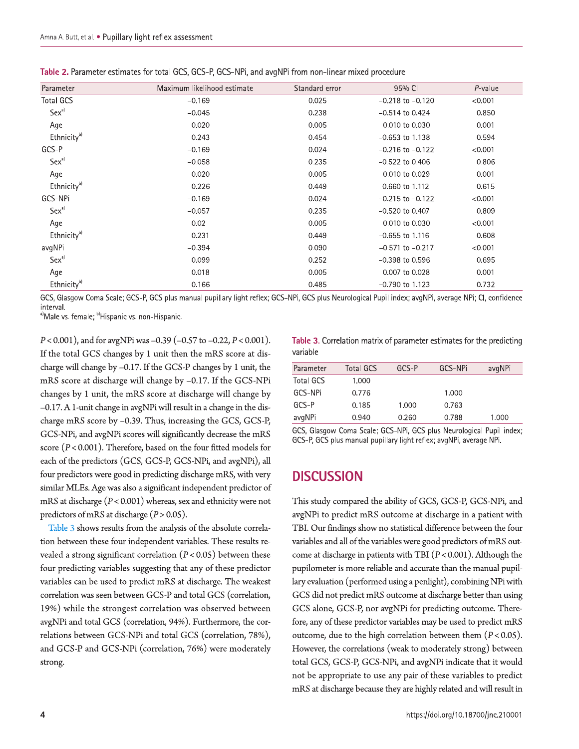| Table 2. Parameter estimates for total GCS, GCS-P, GCS-NPi, and avgNPi from non-linear mixed procedure |  |  |  |  |
|--------------------------------------------------------------------------------------------------------|--|--|--|--|
|                                                                                                        |  |  |  |  |

| Parameter               | Maximum likelihood estimate | Standard error | 95% CI               | P-value |
|-------------------------|-----------------------------|----------------|----------------------|---------|
| <b>Total GCS</b>        | $-0.169$                    | 0.025          | $-0.218$ to $-0.120$ | < 0.001 |
| $Sex^{a}$               | $-0.045$                    | 0.238          | $-0.514$ to 0.424    | 0.850   |
| Age                     | 0.020                       | 0.005          | 0.010 to 0.030       | 0.001   |
| Ethnicity <sup>b)</sup> | 0.243                       | 0.454          | $-0.653$ to 1.138    | 0.594   |
| GCS-P                   | $-0.169$                    | 0.024          | $-0.216$ to $-0.122$ | < 0.001 |
| Sex <sup>a)</sup>       | $-0.058$                    | 0.235          | $-0.522$ to 0.406    | 0.806   |
| Age                     | 0.020                       | 0.005          | 0.010 to 0.029       | 0.001   |
| Ethnicity <sup>b)</sup> | 0.226                       | 0.449          | $-0.660$ to 1.112    | 0.615   |
| GCS-NPi                 | $-0.169$                    | 0.024          | $-0.215$ to $-0.122$ | < 0.001 |
| Sex <sup>a)</sup>       | $-0.057$                    | 0.235          | $-0.520$ to 0.407    | 0.809   |
| Age                     | 0.02                        | 0.005          | 0.010 to 0.030       | < 0.001 |
| Ethnicity <sup>b)</sup> | 0.231                       | 0.449          | $-0.655$ to 1.116    | 0.608   |
| avgNPi                  | $-0.394$                    | 0.090          | $-0.571$ to $-0.217$ | < 0.001 |
| $Sex^{a}$               | 0.099                       | 0.252          | $-0.398$ to 0.596    | 0.695   |
| Age                     | 0.018                       | 0.005          | 0.007 to 0.028       | 0.001   |
| Ethnicity <sup>b)</sup> | 0.166                       | 0.485          | $-0.790$ to 1.123    | 0.732   |

GCS, Glasgow Coma Scale; GCS-P, GCS plus manual pupillary light reflex; GCS-NPi, GCS plus Neurological Pupil index; avgNPi, average NPi; CI, confidence interval.

<sup>a)</sup>Male vs. female; <sup>b)</sup>Hispanic vs. non-Hispanic.

 $P < 0.001$ ), and for avgNPi was -0.39 (-0.57 to -0.22,  $P < 0.001$ ). If the total GCS changes by 1 unit then the mRS score at discharge will change by  $-0.17$ . If the GCS-P changes by 1 unit, the mRS score at discharge will change by -0.17. If the GCS-NPi changes by 1 unit, the mRS score at discharge will change by -0.17. A 1-unit change in avgNPi will result in a change in the discharge mRS score by -0.39. Thus, increasing the GCS, GCS-P, GCS-NPi, and avgNPi scores will significantly decrease the mRS score  $(P < 0.001)$ . Therefore, based on the four fitted models for each of the predictors (GCS, GCS-P, GCS-NPi, and avgNPi), all four predictors were good in predicting discharge mRS, with very similar MLEs. Age was also a significant independent predictor of mRS at discharge  $(P < 0.001)$  whereas, sex and ethnicity were not predictors of mRS at discharge  $(P > 0.05)$ .

Table 3 shows results from the analysis of the absolute correlation between these four independent variables. These results revealed a strong significant correlation  $(P<0.05)$  between these four predicting variables suggesting that any of these predictor variables can be used to predict mRS at discharge. The weakest correlation was seen between GCS-P and total GCS (correlation, 19%) while the strongest correlation was observed between avgNPi and total GCS (correlation, 94%). Furthermore, the correlations between GCS-NPi and total GCS (correlation, 78%), and GCS-P and GCS-NPi (correlation, 76%) were moderately strong.

Table 3. Correlation matrix of parameter estimates for the predicting variable

| Parameter        | Total GCS | GCS-P | GCS-NPi | avgNPi |
|------------------|-----------|-------|---------|--------|
| <b>Total GCS</b> | 1.000     |       |         |        |
| GCS-NPi          | 0.776     |       | 1.000   |        |
| GCS-P            | 0.185     | 1.000 | 0.763   |        |
| avgNPi           | 0.940     | 0.260 | 0.788   | 1.000  |

GCS, Glasgow Coma Scale; GCS-NPi, GCS plus Neurological Pupil index; GCS-P, GCS plus manual pupillary light reflex; avgNPi, average NPi.

### **DISCUSSION**

This study compared the ability of GCS, GCS-P, GCS-NPi, and avgNPi to predict mRS outcome at discharge in a patient with TBI. Our findings show no statistical difference between the four variables and all of the variables were good predictors of mRS outcome at discharge in patients with TBI ( $P < 0.001$ ). Although the pupilometer is more reliable and accurate than the manual pupillary evaluation (performed using a penlight), combining NPi with GCS did not predict mRS outcome at discharge better than using GCS alone, GCS-P, nor avgNPi for predicting outcome. Therefore, any of these predictor variables may be used to predict mRS outcome, due to the high correlation between them  $(P<0.05)$ . However, the correlations (weak to moderately strong) between total GCS, GCS-P, GCS-NPi, and avgNPi indicate that it would not be appropriate to use any pair of these variables to predict mRS at discharge because they are highly related and will result in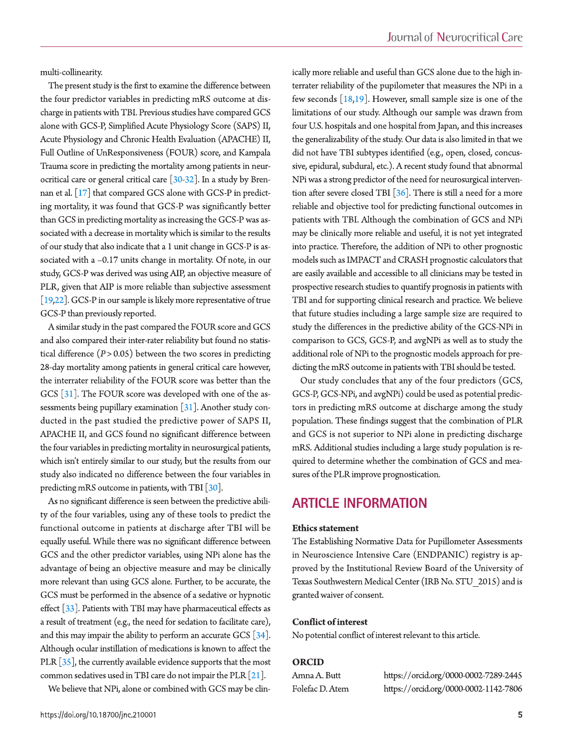multi-collinearity.

The present study is the first to examine the difference between the four predictor variables in predicting mRS outcome at discharge in patients with TBI. Previous studies have compared GCS alone with GCS-P, Simplified Acute Physiology Score (SAPS) II, Acute Physiology and Chronic Health Evaluation (APACHE) II, Full Outline of UnResponsiveness (FOUR) score, and Kampala Trauma score in predicting the mortality among patients in neurocritical care or general critical care [30-32]. In a study by Brennan et al. [17] that compared GCS alone with GCS-P in predicting mortality, it was found that GCS-P was significantly better than GCS in predicting mortality as increasing the GCS-P was associated with a decrease in mortality which is similar to the results of our study that also indicate that a 1 unit change in GCS-P is associated with a -0.17 units change in mortality. Of note, in our study, GCS-P was derived was using AIP, an objective measure of PLR, given that AIP is more reliable than subjective assessment  $[19,22]$ . GCS-P in our sample is likely more representative of true GCS-P than previously reported.

A similar study in the past compared the FOUR score and GCS and also compared their inter-rater reliability but found no statistical difference  $(P > 0.05)$  between the two scores in predicting 28-day mortality among patients in general critical care however, the interrater reliability of the FOUR score was better than the GCS  $\lceil 31 \rceil$ . The FOUR score was developed with one of the assessments being pupillary examination  $\lceil 31 \rceil$ . Another study conducted in the past studied the predictive power of SAPS II, APACHE II, and GCS found no significant difference between the four variables in predicting mortality in neurosurgical patients, which isn't entirely similar to our study, but the results from our study also indicated no difference between the four variables in predicting mRS outcome in patients, with TBI [30].

As no significant difference is seen between the predictive ability of the four variables, using any of these tools to predict the functional outcome in patients at discharge after TBI will be equally useful. While there was no significant difference between GCS and the other predictor variables, using NPi alone has the advantage of being an objective measure and may be clinically more relevant than using GCS alone. Further, to be accurate, the GCS must be performed in the absence of a sedative or hypnotic effect  $[33]$ . Patients with TBI may have pharmaceutical effects as a result of treatment (e.g., the need for sedation to facilitate care), and this may impair the ability to perform an accurate GCS  $[34]$ . Although ocular instillation of medications is known to affect the PLR  $\lceil 35 \rceil$ , the currently available evidence supports that the most common sedatives used in TBI care do not impair the PLR [21].

We believe that NPi, alone or combined with GCS may be clin-

ically more reliable and useful than GCS alone due to the high interrater reliability of the pupilometer that measures the NPi in a few seconds  $[18,19]$ . However, small sample size is one of the limitations of our study. Although our sample was drawn from four U.S. hospitals and one hospital from Japan, and this increases the generalizability of the study. Our data is also limited in that we did not have TBI subtypes identified (e.g., open, closed, concussive, epidural, subdural, etc.). A recent study found that abnormal NPi was a strong predictor of the need for neurosurgical intervention after severe closed TBI  $[36]$ . There is still a need for a more reliable and objective tool for predicting functional outcomes in patients with TBI. Although the combination of GCS and NPi may be clinically more reliable and useful, it is not yet integrated into practice. Therefore, the addition of NPi to other prognostic models such as IMPACT and CRASH prognostic calculators that are easily available and accessible to all clinicians may be tested in prospective research studies to quantify prognosis in patients with TBI and for supporting clinical research and practice. We believe that future studies including a large sample size are required to study the differences in the predictive ability of the GCS-NPi in comparison to GCS, GCS-P, and avgNPi as well as to study the additional role of NPi to the prognostic models approach for predicting the mRS outcome in patients with TBI should be tested.

Our study concludes that any of the four predictors (GCS, GCS-P, GCS-NPi, and avgNPi) could be used as potential predictors in predicting mRS outcome at discharge among the study population. These findings suggest that the combination of PLR and GCS is not superior to NPi alone in predicting discharge mRS. Additional studies including a large study population is required to determine whether the combination of GCS and measures of the PLR improve prognostication.

## **ARTICLE INFORMATION**

#### **Ethics statement**

The Establishing Normative Data for Pupillometer Assessments in Neuroscience Intensive Care (ENDPANIC) registry is approved by the Institutional Review Board of the University of Texas Southwestern Medical Center (IRB No. STU 2015) and is granted waiver of consent.

#### **Conflict of interest**

No potential conflict of interest relevant to this article.

#### **ORCID**

| Amna A. Butt    | https://orcid.org/0000-0002-7289-2445 |
|-----------------|---------------------------------------|
| Folefac D. Atem | https://orcid.org/0000-0002-1142-7806 |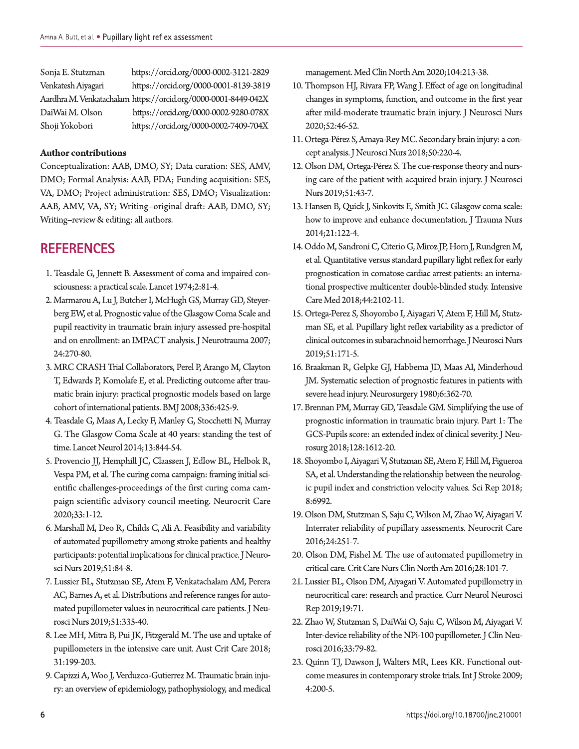| Sonja E. Stutzman  | https://orcid.org/0000-0002-3121-2829                          |
|--------------------|----------------------------------------------------------------|
| Venkatesh Aiyagari | https://orcid.org/0000-0001-8139-3819                          |
|                    | Aardhra M. Venkatachalam https://orcid.org/0000-0001-8449-042X |
| DaiWai M. Olson    | https://orcid.org/0000-0002-9280-078X                          |
| Shoji Yokobori     | https://orcid.org/0000-0002-7409-704X                          |

#### **Author contributions**

Conceptualization: AAB, DMO, SY; Data curation: SES, AMV, DMO; Formal Analysis: AAB, FDA; Funding acquisition: SES, VA, DMO; Project administration: SES, DMO; Visualization: AAB, AMV, VA, SY; Writing-original draft: AAB, DMO, SY; Writing-review & editing: all authors.

## **REFERENCES**

- 1. Teasdale G, Jennett B. Assessment of coma and impaired consciousness: a practical scale. Lancet 1974;2:81-4.
- 2. Marmarou A, Lu J, Butcher I, McHugh GS, Murray GD, Steyerberg EW, et al. Prognostic value of the Glasgow Coma Scale and pupil reactivity in traumatic brain injury assessed pre-hospital and on enrollment: an IMPACT analysis. J Neurotrauma 2007; 24:270-80.
- 3. MRC CRASH Trial Collaborators, Perel P, Arango M, Clayton T, Edwards P, Komolafe E, et al. Predicting outcome after traumatic brain injury: practical prognostic models based on large cohort of international patients. BMJ 2008;336:425-9.
- 4. Teasdale G, Maas A, Lecky F, Manley G, Stocchetti N, Murray G. The Glasgow Coma Scale at 40 years: standing the test of time. Lancet Neurol 2014;13:844-54.
- 5. Provencio JJ, Hemphill JC, Claassen J, Edlow BL, Helbok R, Vespa PM, et al. The curing coma campaign: framing initial scientific challenges-proceedings of the first curing coma campaign scientific advisory council meeting. Neurocrit Care 2020;33:1-12.
- 6. Marshall M, Deo R, Childs C, Ali A. Feasibility and variability of automated pupillometry among stroke patients and healthy participants: potential implications for clinical practice. J Neurosci Nurs 2019;51:84-8.
- 7. Lussier BL, Stutzman SE, Atem F, Venkatachalam AM, Perera AC, Barnes A, et al. Distributions and reference ranges for automated pupillometer values in neurocritical care patients. J Neurosci Nurs 2019;51:335-40.
- 8. Lee MH, Mitra B, Pui JK, Fitzgerald M. The use and uptake of pupillometers in the intensive care unit. Aust Crit Care 2018; 31:199-203.
- 9. Capizzi A, Woo J, Verduzco-Gutierrez M. Traumatic brain injury: an overview of epidemiology, pathophysiology, and medical

management. Med Clin North Am 2020;104:213-38.

- 10. Thompson HJ, Rivara FP, Wang J. Effect of age on longitudinal changes in symptoms, function, and outcome in the first year after mild-moderate traumatic brain injury. J Neurosci Nurs 2020;52:46-52.
- 11. Ortega-Pérez S, Amaya-Rey MC. Secondary brain injury: a concept analysis. J Neurosci Nurs 2018;50:220-4.
- 12. Olson DM, Ortega-Pérez S. The cue-response theory and nursing care of the patient with acquired brain injury. J Neurosci Nurs 2019;51:43-7.
- 13. Hansen B, Quick J, Sinkovits E, Smith JC. Glasgow coma scale: how to improve and enhance documentation. J Trauma Nurs 2014;21:122-4.
- 14. Oddo M, Sandroni C, Citerio G, Miroz JP, Horn J, Rundgren M, et al. Quantitative versus standard pupillary light reflex for early prognostication in comatose cardiac arrest patients: an international prospective multicenter double-blinded study. Intensive Care Med 2018;44:2102-11.
- 15. Ortega-Perez S, Shoyombo I, Aiyagari V, Atem F, Hill M, Stutzman SE, et al. Pupillary light reflex variability as a predictor of clinical outcomes in subarachnoid hemorrhage. J Neurosci Nurs 2019;51:171-5.
- 16. Braakman R, Gelpke GJ, Habbema JD, Maas AI, Minderhoud JM. Systematic selection of prognostic features in patients with severe head injury. Neurosurgery 1980;6:362-70.
- 17. Brennan PM, Murray GD, Teasdale GM. Simplifying the use of prognostic information in traumatic brain injury. Part 1: The GCS-Pupils score: an extended index of clinical severity. J Neurosurg 2018;128:1612-20.
- 18. Shoyombo I, Aiyagari V, Stutzman SE, Atem F, Hill M, Figueroa SA, et al. Understanding the relationship between the neurologic pupil index and constriction velocity values. Sci Rep 2018; 8:6992.
- 19. Olson DM, Stutzman S, Saju C, Wilson M, Zhao W, Aiyagari V. Interrater reliability of pupillary assessments. Neurocrit Care 2016;24:251-7.
- 20. Olson DM, Fishel M. The use of automated pupillometry in critical care. Crit Care Nurs Clin North Am 2016;28:101-7.
- 21. Lussier BL, Olson DM, Aiyagari V. Automated pupillometry in neurocritical care: research and practice. Curr Neurol Neurosci Rep 2019;19:71.
- 22. Zhao W, Stutzman S, DaiWai O, Saju C, Wilson M, Aiyagari V. Inter-device reliability of the NPi-100 pupillometer. J Clin Neurosci 2016;33:79-82.
- 23. Quinn TJ, Dawson J, Walters MR, Lees KR. Functional outcome measures in contemporary stroke trials. Int J Stroke 2009; 4:200-5.